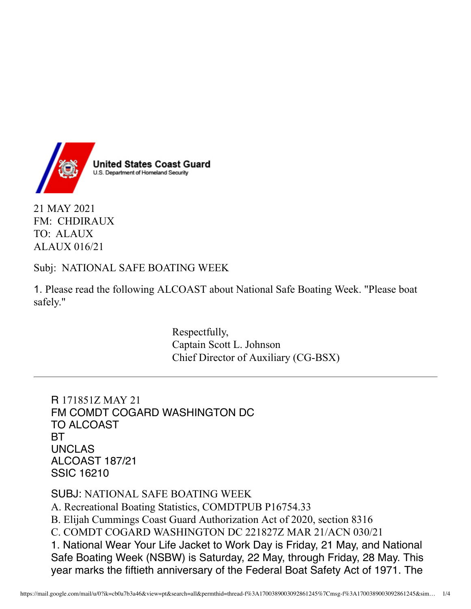

21 MAY 2021 FM: CHDIRAUX TO: ALAUX ALAUX 016/21

Subj: NATIONAL SAFE BOATING WEEK

1. Please read the following ALCOAST about National Safe Boating Week. "Please boat safely."

> Respectfully, Captain Scott L. Johnson Chief Director of Auxiliary (CG-BSX)

R 171851Z MAY 21 FM COMDT COGARD WASHINGTON DC TO ALCOAST **BT** UNCLAS ALCOAST 187/21 SSIC 16210

SUBJ: NATIONAL SAFE BOATING WEEK A. Recreational Boating Statistics, COMDTPUB P16754.33 B. Elijah Cummings Coast Guard Authorization Act of 2020, section 8316 C. COMDT COGARD WASHINGTON DC 221827Z MAR 21/ACN 030/21 1. National Wear Your Life Jacket to Work Day is Friday, 21 May, and National Safe Boating Week (NSBW) is Saturday, 22 May, through Friday, 28 May. This year marks the fiftieth anniversary of the Federal Boat Safety Act of 1971. The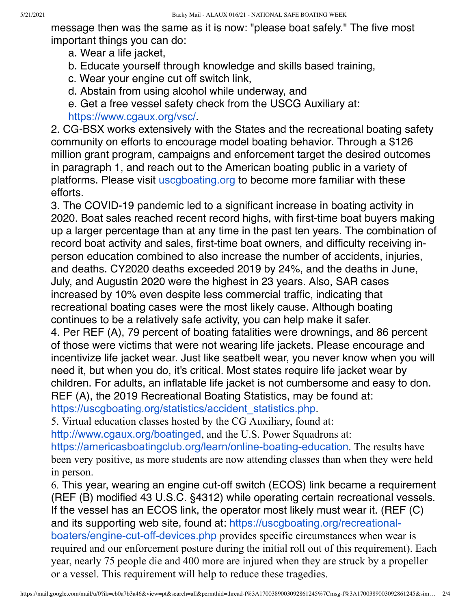message then was the same as it is now: "please boat safely." The five most important things you can do:

- a. Wear a life jacket,
- b. Educate yourself through knowledge and skills based training,
- c. Wear your engine cut off switch link,
- d. Abstain from using alcohol while underway, and

e. Get a free vessel safety check from the USCG Auxiliary at: [https://www.cgaux.org/vsc/](https://lnks.gd/l/eyJhbGciOiJIUzI1NiJ9.eyJidWxsZXRpbl9saW5rX2lkIjoxMDAsInVyaSI6ImJwMjpjbGljayIsImJ1bGxldGluX2lkIjoiMjAyMTA1MjEuNDA5MTAzMjEiLCJ1cmwiOiJodHRwczovL3d3dy5jZ2F1eC5vcmcvdnNjLyJ9.oUiQEfE53lPw8jPzRcQBMUlejhEJIR8YWFS6FTIO3DU/s/1381448237/br/106792972264-l).

2. CG-BSX works extensively with the States and the recreational boating safety community on efforts to encourage model boating behavior. Through a \$126 million grant program, campaigns and enforcement target the desired outcomes in paragraph 1, and reach out to the American boating public in a variety of platforms. Please visit [uscgboating.org](http://uscgboating.org/) to become more familiar with these efforts.

3. The COVID-19 pandemic led to a significant increase in boating activity in 2020. Boat sales reached recent record highs, with first-time boat buyers making up a larger percentage than at any time in the past ten years. The combination of record boat activity and sales, first-time boat owners, and difficulty receiving inperson education combined to also increase the number of accidents, injuries, and deaths. CY2020 deaths exceeded 2019 by 24%, and the deaths in June, July, and Augustin 2020 were the highest in 23 years. Also, SAR cases increased by 10% even despite less commercial traffic, indicating that recreational boating cases were the most likely cause. Although boating continues to be a relatively safe activity, you can help make it safer.

4. Per REF (A), 79 percent of boating fatalities were drownings, and 86 percent of those were victims that were not wearing life jackets. Please encourage and incentivize life jacket wear. Just like seatbelt wear, you never know when you will need it, but when you do, it's critical. Most states require life jacket wear by children. For adults, an inflatable life jacket is not cumbersome and easy to don. REF (A), the 2019 Recreational Boating Statistics, may be found at: https://uscqboating.org/statistics/accident\_statistics.php.

5. Virtual education classes hosted by the CG Auxiliary, found at:

[http://www.cgaux.org/boatinged](https://lnks.gd/l/eyJhbGciOiJIUzI1NiJ9.eyJidWxsZXRpbl9saW5rX2lkIjoxMDIsInVyaSI6ImJwMjpjbGljayIsImJ1bGxldGluX2lkIjoiMjAyMTA1MjEuNDA5MTAzMjEiLCJ1cmwiOiJodHRwOi8vd3d3LmNnYXV4Lm9yZy9ib2F0aW5nZWQifQ.NGVMXhKj9kZOUrD1GFO_vAM1QoSvhwS84dhBH4a7e-U/s/1381448237/br/106792972264-l), and the U.S. Power Squadrons at:

[https://americasboatingclub.org/learn/online-boating-education](https://lnks.gd/l/eyJhbGciOiJIUzI1NiJ9.eyJidWxsZXRpbl9saW5rX2lkIjoxMDMsInVyaSI6ImJwMjpjbGljayIsImJ1bGxldGluX2lkIjoiMjAyMTA1MjEuNDA5MTAzMjEiLCJ1cmwiOiJodHRwczovL2FtZXJpY2FzYm9hdGluZ2NsdWIub3JnL2xlYXJuL29ubGluZS1ib2F0aW5nLWVkdWNhdGlvbiJ9.qgqFIp5DeXM9ML1kpnJKIfAaYmJX7qFgQ5ZSbJKUqC0/s/1381448237/br/106792972264-l). The results have been very positive, as more students are now attending classes than when they were held in person.

6. This year, wearing an engine cut-off switch (ECOS) link became a requirement (REF (B) modified 43 U.S.C. §4312) while operating certain recreational vessels. If the vessel has an ECOS link, the operator most likely must wear it. (REF (C) and its supporting web site, found at: [https://uscgboating.org/recreational](https://lnks.gd/l/eyJhbGciOiJIUzI1NiJ9.eyJidWxsZXRpbl9saW5rX2lkIjoxMDQsInVyaSI6ImJwMjpjbGljayIsImJ1bGxldGluX2lkIjoiMjAyMTA1MjEuNDA5MTAzMjEiLCJ1cmwiOiJodHRwczovL3VzY2dib2F0aW5nLm9yZy9yZWNyZWF0aW9uYWwtYm9hdGVycy9lbmdpbmUtY3V0LW9mZi1kZXZpY2VzLnBocCJ9.0n85gysbtJTO5JLrcsbqaUYbqY31Z43LXf_1gM5p7g8/s/1381448237/br/106792972264-l)boaters/engine-cut-off-devices.php provides specific circumstances when wear is required and our enforcement posture during the initial roll out of this requirement). Each year, nearly 75 people die and 400 more are injured when they are struck by a propeller or a vessel. This requirement will help to reduce these tragedies.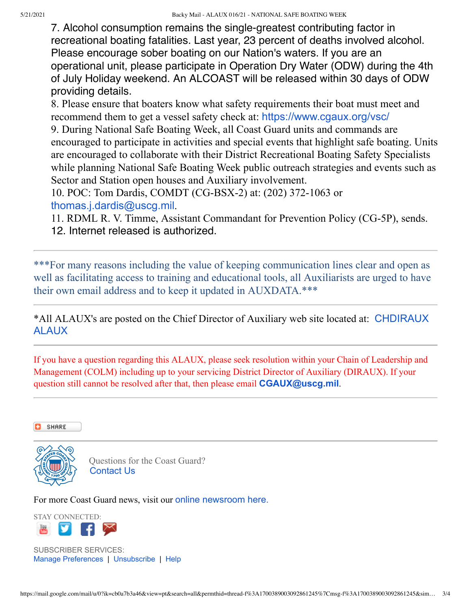7. Alcohol consumption remains the single-greatest contributing factor in recreational boating fatalities. Last year, 23 percent of deaths involved alcohol. Please encourage sober boating on our Nation's waters. If you are an operational unit, please participate in Operation Dry Water (ODW) during the 4th of July Holiday weekend. An ALCOAST will be released within 30 days of ODW providing details.

8. Please ensure that boaters know what safety requirements their boat must meet and recommend them to get a vessel safety check at: [https://www.cgaux.org/vsc/](https://lnks.gd/l/eyJhbGciOiJIUzI1NiJ9.eyJidWxsZXRpbl9saW5rX2lkIjoxMDUsInVyaSI6ImJwMjpjbGljayIsImJ1bGxldGluX2lkIjoiMjAyMTA1MjEuNDA5MTAzMjEiLCJ1cmwiOiJodHRwczovL3d3dy5jZ2F1eC5vcmcvdnNjLyJ9.erF_xD2dXT3iFa7dAwAkWrgaCbauIhvbpHUzhJGX91Y/s/1381448237/br/106792972264-l)

9. During National Safe Boating Week, all Coast Guard units and commands are encouraged to participate in activities and special events that highlight safe boating. Units are encouraged to collaborate with their District Recreational Boating Safety Specialists while planning National Safe Boating Week public outreach strategies and events such as Sector and Station open houses and Auxiliary involvement.

10. POC: Tom Dardis, COMDT (CG-BSX-2) at: (202) 372-1063 or [thomas.j.dardis@uscg.mil](mailto:thomas.j.dardis@uscg.mil).

11. RDML R. V. Timme, Assistant Commandant for Prevention Policy (CG-5P), sends. 12. Internet released is authorized.

\*\*\*For many reasons including the value of keeping communication lines clear and open as well as facilitating access to training and educational tools, all Auxiliarists are urged to have their own email address and to keep it updated in AUXDATA.\*\*\*

[\\*All ALAUX's are posted on the Chief Director of Auxiliary web site located at:](https://lnks.gd/l/eyJhbGciOiJIUzI1NiJ9.eyJidWxsZXRpbl9saW5rX2lkIjoxMDYsInVyaSI6ImJwMjpjbGljayIsImJ1bGxldGluX2lkIjoiMjAyMTA1MjEuNDA5MTAzMjEiLCJ1cmwiOiJodHRwOi8vYWdyb3VwLWJ4Lndvdy51c2NnYXV4LmluZm8vY29udGVudC5waHA_dW5pdD1CWC1HUk9VUCZjYXRlZ29yeT1jaGRpcmF1eC1hbGF1eHMifQ.y7BZquRvs-p9r19BwFUcK3vFck6x_07-o1DTJ8W9OCw/s/1381448237/br/106792972264-l) CHDIRAUX ALAUX

If you have a question regarding this ALAUX, please seek resolution within your Chain of Leadership and Management (COLM) including up to your servicing District Director of Auxiliary (DIRAUX). If your question still cannot be resolved after that, then please email **[CGAUX@uscg.mil](mailto:CGAUX@uscg.mil)**.

SHARE



 Questions for the Coast Guard? [Contact Us](https://lnks.gd/l/eyJhbGciOiJIUzI1NiJ9.eyJidWxsZXRpbl9saW5rX2lkIjoxMDksInVyaSI6ImJwMjpjbGljayIsImJ1bGxldGluX2lkIjoiMjAyMTA1MjEuNDA5MTAzMjEiLCJ1cmwiOiJodHRwOi8vd3d3Lm5ld3MudXNjZy5taWwvTmV3c19SZWdpb24vIn0.gIxZcNqqOuPdP5BqMVf0lbaL5J6dGNayZgXlZqva5vk/s/1381448237/br/106792972264-l)

For more Coast Guard news, visit our [online newsroom here.](https://lnks.gd/l/eyJhbGciOiJIUzI1NiJ9.eyJidWxsZXRpbl9saW5rX2lkIjoxMTAsInVyaSI6ImJwMjpjbGljayIsImJ1bGxldGluX2lkIjoiMjAyMTA1MjEuNDA5MTAzMjEiLCJ1cmwiOiJodHRwOi8vd3d3Lm5ld3MudXNjZy5taWwvIn0.9yLv21RP_ykcB0wAt2efpkMePl76eOY7zdacXvWSfPY/s/1381448237/br/106792972264-l)

STAY CONNECTED:

SUBSCRIBER SERVICES: [Manage Preferences](https://lnks.gd/l/eyJhbGciOiJIUzI1NiJ9.eyJidWxsZXRpbl9saW5rX2lkIjoxMTUsInVyaSI6ImJwMjpjbGljayIsImJ1bGxldGluX2lkIjoiMjAyMTA1MjEuNDA5MTAzMjEiLCJ1cmwiOiJodHRwczovL3B1YmxpYy5nb3ZkZWxpdmVyeS5jb20vYWNjb3VudHMvVVNESFNDRy9zdWJzY3JpYmVyL2VkaXQ_cHJlZmVyZW5jZXM9dHJ1ZSN0YWIxIn0.6d5paiT9EeRC8TOVkvqzykJMi-65Qx9DsxNU1QPAPq8/s/1381448237/br/106792972264-l) | [Unsubscribe](https://lnks.gd/l/eyJhbGciOiJIUzI1NiJ9.eyJidWxsZXRpbl9saW5rX2lkIjoxMTYsInF1ZXJ5X3BhcmFtcyI6WyJ2ZXJpZmljYXRpb24iLCJkZXN0aW5hdGlvbiJdLCJ1cmkiOiJicDI6Y2xpY2siLCJidWxsZXRpbl9pZCI6IjIwMjEwNTIxLjQwOTEwMzIxIiwidXJsIjoiaHR0cHM6Ly9wdWJsaWMuZ292ZGVsaXZlcnkuY29tL2FjY291bnRzL1VTREhTQ0cvc3Vic2NyaWJlci9vbmVfY2xpY2tfdW5zdWJzY3JpYmUifQ.GnNiNvCM2rjaqm26Ei8uqqGcorck_3ZBT_YXpoPqWXw/s/1381448237/br/106792972264-l?verification=5.98846cd8bda7e81b6bb0697b2d0e0210&destination=william%40backy.org) | [Help](https://lnks.gd/l/eyJhbGciOiJIUzI1NiJ9.eyJidWxsZXRpbl9saW5rX2lkIjoxMTcsInVyaSI6ImJwMjpjbGljayIsImJ1bGxldGluX2lkIjoiMjAyMTA1MjEuNDA5MTAzMjEiLCJ1cmwiOiJodHRwczovL3N1YnNjcmliZXJoZWxwLmdvdmRlbGl2ZXJ5LmNvbS8ifQ.wUYHKAK9bHc2i2znktNvZqtxex8GCIJxtJwW4jaZ0S4/s/1381448237/br/106792972264-l)